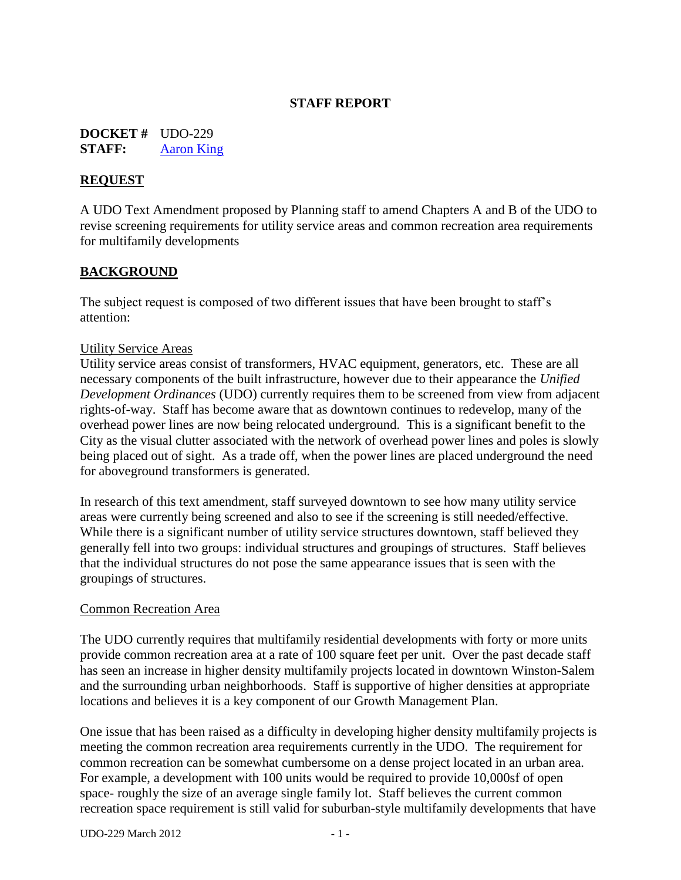## **STAFF REPORT**

**DOCKET #** UDO-229 **STAFF:** [Aaron King](mailto:aaronk@cityofws.org)

## **REQUEST**

A UDO Text Amendment proposed by Planning staff to amend Chapters A and B of the UDO to revise screening requirements for utility service areas and common recreation area requirements for multifamily developments

## **BACKGROUND**

The subject request is composed of two different issues that have been brought to staff's attention:

#### Utility Service Areas

Utility service areas consist of transformers, HVAC equipment, generators, etc. These are all necessary components of the built infrastructure, however due to their appearance the *Unified Development Ordinances* (UDO) currently requires them to be screened from view from adjacent rights-of-way. Staff has become aware that as downtown continues to redevelop, many of the overhead power lines are now being relocated underground. This is a significant benefit to the City as the visual clutter associated with the network of overhead power lines and poles is slowly being placed out of sight. As a trade off, when the power lines are placed underground the need for aboveground transformers is generated.

In research of this text amendment, staff surveyed downtown to see how many utility service areas were currently being screened and also to see if the screening is still needed/effective. While there is a significant number of utility service structures downtown, staff believed they generally fell into two groups: individual structures and groupings of structures. Staff believes that the individual structures do not pose the same appearance issues that is seen with the groupings of structures.

#### Common Recreation Area

The UDO currently requires that multifamily residential developments with forty or more units provide common recreation area at a rate of 100 square feet per unit. Over the past decade staff has seen an increase in higher density multifamily projects located in downtown Winston-Salem and the surrounding urban neighborhoods. Staff is supportive of higher densities at appropriate locations and believes it is a key component of our Growth Management Plan.

One issue that has been raised as a difficulty in developing higher density multifamily projects is meeting the common recreation area requirements currently in the UDO. The requirement for common recreation can be somewhat cumbersome on a dense project located in an urban area. For example, a development with 100 units would be required to provide 10,000sf of open space- roughly the size of an average single family lot. Staff believes the current common recreation space requirement is still valid for suburban-style multifamily developments that have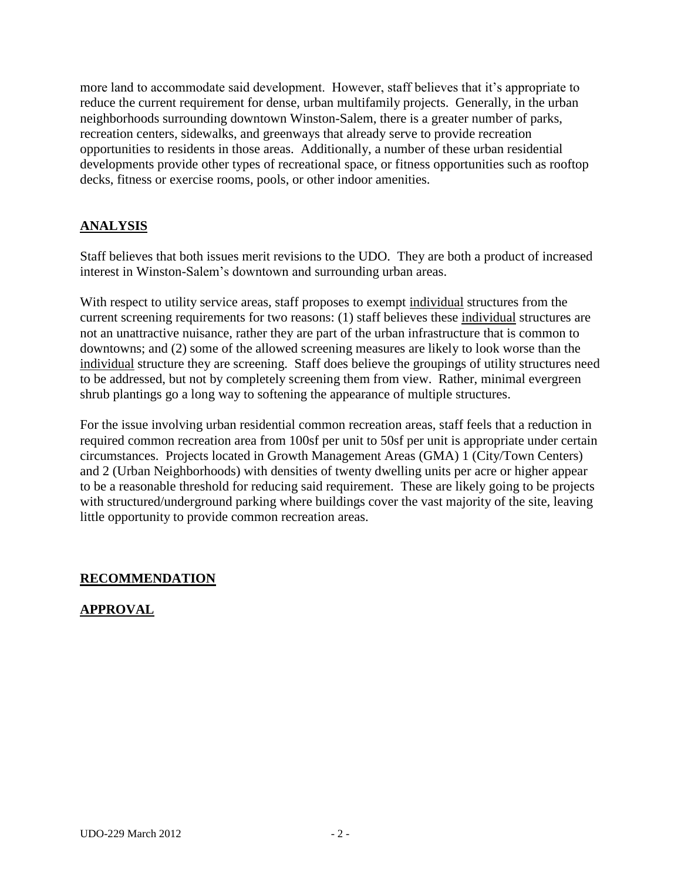more land to accommodate said development. However, staff believes that it's appropriate to reduce the current requirement for dense, urban multifamily projects. Generally, in the urban neighborhoods surrounding downtown Winston-Salem, there is a greater number of parks, recreation centers, sidewalks, and greenways that already serve to provide recreation opportunities to residents in those areas. Additionally, a number of these urban residential developments provide other types of recreational space, or fitness opportunities such as rooftop decks, fitness or exercise rooms, pools, or other indoor amenities.

# **ANALYSIS**

Staff believes that both issues merit revisions to the UDO. They are both a product of increased interest in Winston-Salem's downtown and surrounding urban areas.

With respect to utility service areas, staff proposes to exempt individual structures from the current screening requirements for two reasons: (1) staff believes these individual structures are not an unattractive nuisance, rather they are part of the urban infrastructure that is common to downtowns; and (2) some of the allowed screening measures are likely to look worse than the individual structure they are screening. Staff does believe the groupings of utility structures need to be addressed, but not by completely screening them from view. Rather, minimal evergreen shrub plantings go a long way to softening the appearance of multiple structures.

For the issue involving urban residential common recreation areas, staff feels that a reduction in required common recreation area from 100sf per unit to 50sf per unit is appropriate under certain circumstances. Projects located in Growth Management Areas (GMA) 1 (City/Town Centers) and 2 (Urban Neighborhoods) with densities of twenty dwelling units per acre or higher appear to be a reasonable threshold for reducing said requirement. These are likely going to be projects with structured/underground parking where buildings cover the vast majority of the site, leaving little opportunity to provide common recreation areas.

# **RECOMMENDATION**

# **APPROVAL**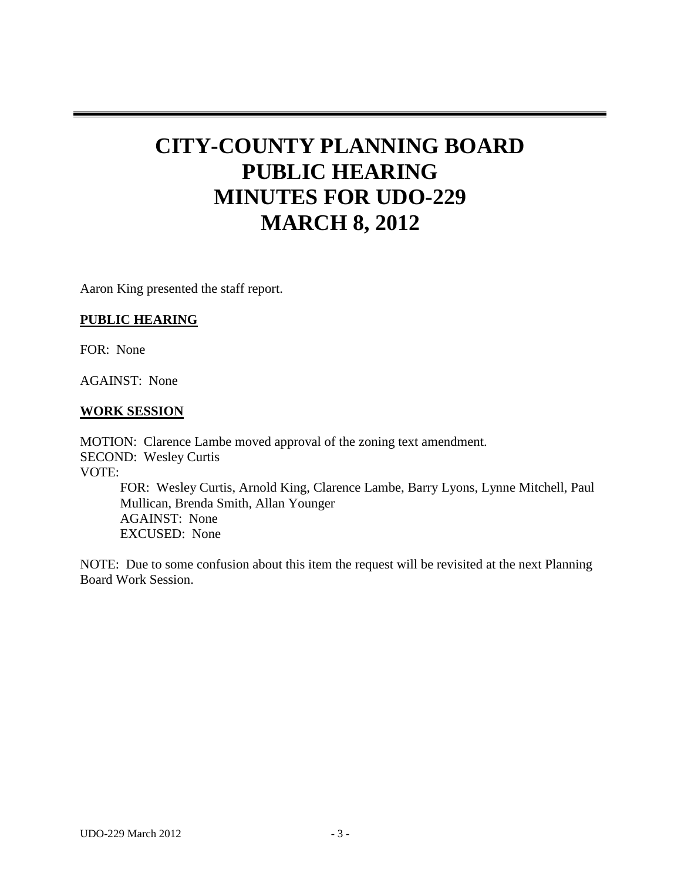# **CITY-COUNTY PLANNING BOARD PUBLIC HEARING MINUTES FOR UDO-229 MARCH 8, 2012**

Aaron King presented the staff report.

### **PUBLIC HEARING**

FOR: None

AGAINST: None

#### **WORK SESSION**

MOTION: Clarence Lambe moved approval of the zoning text amendment. SECOND: Wesley Curtis VOTE: FOR: Wesley Curtis, Arnold King, Clarence Lambe, Barry Lyons, Lynne Mitchell, Paul Mullican, Brenda Smith, Allan Younger AGAINST: None

EXCUSED: None

NOTE: Due to some confusion about this item the request will be revisited at the next Planning Board Work Session.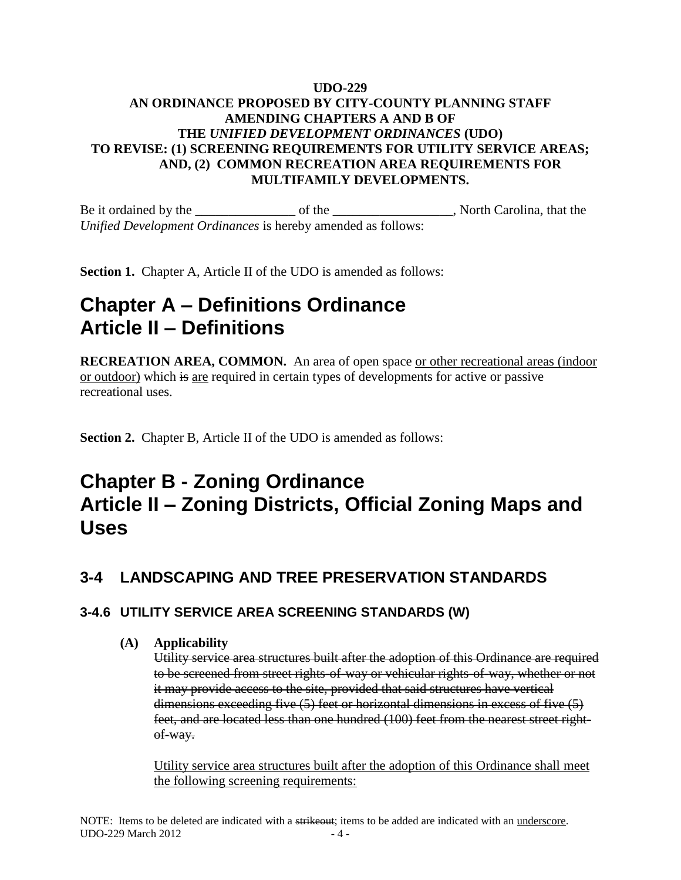## **UDO-229 AN ORDINANCE PROPOSED BY CITY-COUNTY PLANNING STAFF AMENDING CHAPTERS A AND B OF THE** *UNIFIED DEVELOPMENT ORDINANCES* **(UDO) TO REVISE: (1) SCREENING REQUIREMENTS FOR UTILITY SERVICE AREAS; AND, (2) COMMON RECREATION AREA REQUIREMENTS FOR MULTIFAMILY DEVELOPMENTS.**

Be it ordained by the \_\_\_\_\_\_\_\_\_\_\_\_\_\_\_ of the \_\_\_\_\_\_\_\_\_\_\_\_\_\_\_\_\_\_, North Carolina, that the *Unified Development Ordinances* is hereby amended as follows:

**Section 1.** Chapter A, Article II of the UDO is amended as follows:

# **Chapter A – Definitions Ordinance Article II – Definitions**

**RECREATION AREA, COMMON.** An area of open space or other recreational areas (indoor or outdoor) which is are required in certain types of developments for active or passive recreational uses.

**Section 2.** Chapter B, Article II of the UDO is amended as follows:

# **Chapter B - Zoning Ordinance Article II – Zoning Districts, Official Zoning Maps and Uses**

# **3-4 LANDSCAPING AND TREE PRESERVATION STANDARDS**

# **3-4.6 UTILITY SERVICE AREA SCREENING STANDARDS (W)**

### **(A) Applicability**

Utility service area structures built after the adoption of this Ordinance are required to be screened from street rights-of-way or vehicular rights-of-way, whether or not it may provide access to the site, provided that said structures have vertical dimensions exceeding five (5) feet or horizontal dimensions in excess of five (5) feet, and are located less than one hundred (100) feet from the nearest street rightof-way.

Utility service area structures built after the adoption of this Ordinance shall meet the following screening requirements: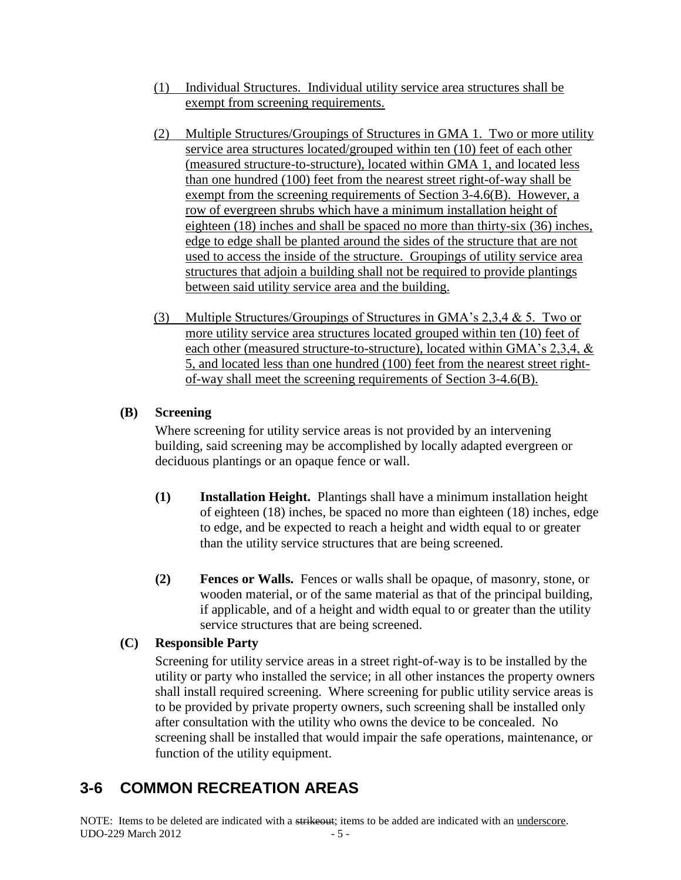- (1) Individual Structures. Individual utility service area structures shall be exempt from screening requirements.
- (2) Multiple Structures/Groupings of Structures in GMA 1. Two or more utility service area structures located/grouped within ten (10) feet of each other (measured structure-to-structure), located within GMA 1, and located less than one hundred (100) feet from the nearest street right-of-way shall be exempt from the screening requirements of Section 3-4.6(B). However, a row of evergreen shrubs which have a minimum installation height of eighteen (18) inches and shall be spaced no more than thirty-six (36) inches, edge to edge shall be planted around the sides of the structure that are not used to access the inside of the structure. Groupings of utility service area structures that adjoin a building shall not be required to provide plantings between said utility service area and the building.
- (3) Multiple Structures/Groupings of Structures in GMA's 2,3,4 & 5. Two or more utility service area structures located grouped within ten (10) feet of each other (measured structure-to-structure), located within GMA's 2,3,4, & 5, and located less than one hundred (100) feet from the nearest street rightof-way shall meet the screening requirements of Section 3-4.6(B).

# **(B) Screening**

Where screening for utility service areas is not provided by an intervening building, said screening may be accomplished by locally adapted evergreen or deciduous plantings or an opaque fence or wall.

- **(1) Installation Height.** Plantings shall have a minimum installation height of eighteen (18) inches, be spaced no more than eighteen (18) inches, edge to edge, and be expected to reach a height and width equal to or greater than the utility service structures that are being screened.
- **(2) Fences or Walls.** Fences or walls shall be opaque, of masonry, stone, or wooden material, or of the same material as that of the principal building, if applicable, and of a height and width equal to or greater than the utility service structures that are being screened.

# **(C) Responsible Party**

Screening for utility service areas in a street right-of-way is to be installed by the utility or party who installed the service; in all other instances the property owners shall install required screening. Where screening for public utility service areas is to be provided by private property owners, such screening shall be installed only after consultation with the utility who owns the device to be concealed. No screening shall be installed that would impair the safe operations, maintenance, or function of the utility equipment.

# **3-6 COMMON RECREATION AREAS**

NOTE: Items to be deleted are indicated with a strikeout; items to be added are indicated with an underscore.  $\text{UDO-229 March } 2012$   $-5$  -